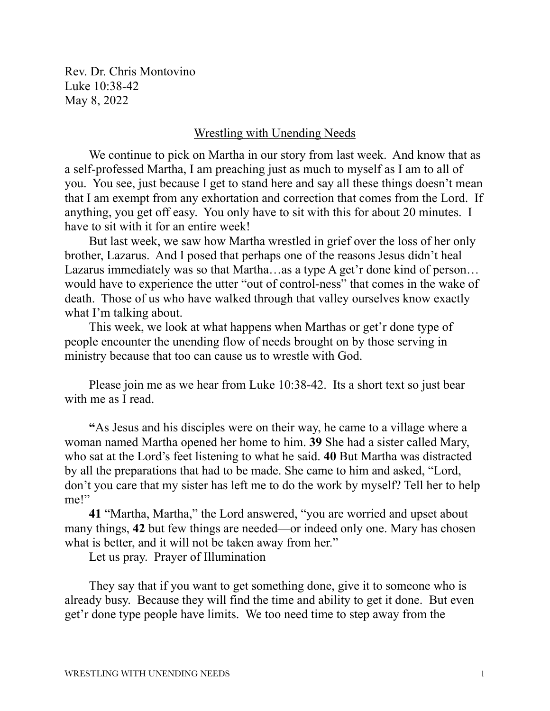Rev. Dr. Chris Montovino Luke 10:38-42 May 8, 2022

## Wrestling with Unending Needs

We continue to pick on Martha in our story from last week. And know that as a self-professed Martha, I am preaching just as much to myself as I am to all of you. You see, just because I get to stand here and say all these things doesn't mean that I am exempt from any exhortation and correction that comes from the Lord. If anything, you get off easy. You only have to sit with this for about 20 minutes. I have to sit with it for an entire week!

But last week, we saw how Martha wrestled in grief over the loss of her only brother, Lazarus. And I posed that perhaps one of the reasons Jesus didn't heal Lazarus immediately was so that Martha…as a type A get'r done kind of person… would have to experience the utter "out of control-ness" that comes in the wake of death. Those of us who have walked through that valley ourselves know exactly what I'm talking about.

This week, we look at what happens when Marthas or get'r done type of people encounter the unending flow of needs brought on by those serving in ministry because that too can cause us to wrestle with God.

Please join me as we hear from Luke 10:38-42. Its a short text so just bear with me as I read.

**"**As Jesus and his disciples were on their way, he came to a village where a woman named Martha opened her home to him. **39** She had a sister called Mary, who sat at the Lord's feet listening to what he said. **40** But Martha was distracted by all the preparations that had to be made. She came to him and asked, "Lord, don't you care that my sister has left me to do the work by myself? Tell her to help me!"

**41** "Martha, Martha," the Lord answered, "you are worried and upset about many things, **42** but few things are needed—or indeed only one. Mary has chosen what is better, and it will not be taken away from her."

Let us pray. Prayer of Illumination

They say that if you want to get something done, give it to someone who is already busy. Because they will find the time and ability to get it done. But even get'r done type people have limits. We too need time to step away from the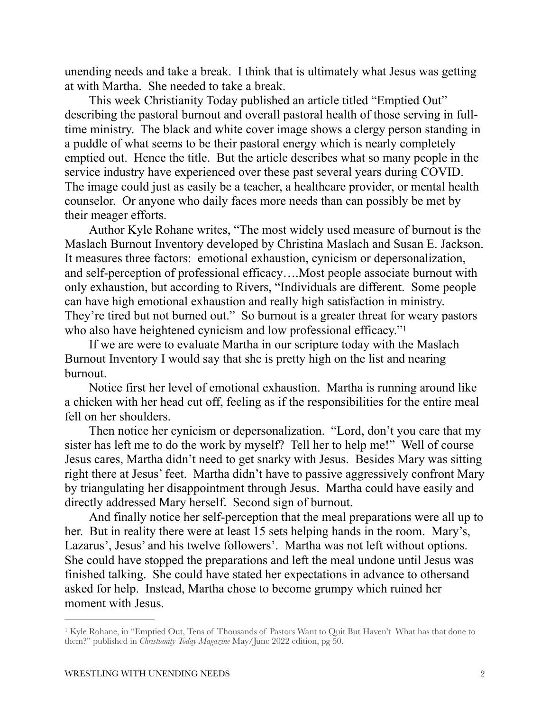unending needs and take a break. I think that is ultimately what Jesus was getting at with Martha. She needed to take a break.

This week Christianity Today published an article titled "Emptied Out" describing the pastoral burnout and overall pastoral health of those serving in fulltime ministry. The black and white cover image shows a clergy person standing in a puddle of what seems to be their pastoral energy which is nearly completely emptied out. Hence the title. But the article describes what so many people in the service industry have experienced over these past several years during COVID. The image could just as easily be a teacher, a healthcare provider, or mental health counselor. Or anyone who daily faces more needs than can possibly be met by their meager efforts.

Author Kyle Rohane writes, "The most widely used measure of burnout is the Maslach Burnout Inventory developed by Christina Maslach and Susan E. Jackson. It measures three factors: emotional exhaustion, cynicism or depersonalization, and self-perception of professional efficacy….Most people associate burnout with only exhaustion, but according to Rivers, "Individuals are different. Some people can have high emotional exhaustion and really high satisfaction in ministry. They're tired but not burned out." So burnout is a greater threat for weary pastors who also have heightened cynicism and low professional efficacy."<sup>1</sup>

<span id="page-1-1"></span>If we are were to evaluate Martha in our scripture today with the Maslach Burnout Inventory I would say that she is pretty high on the list and nearing burnout.

Notice first her level of emotional exhaustion. Martha is running around like a chicken with her head cut off, feeling as if the responsibilities for the entire meal fell on her shoulders.

Then notice her cynicism or depersonalization. "Lord, don't you care that my sister has left me to do the work by myself? Tell her to help me!" Well of course Jesus cares, Martha didn't need to get snarky with Jesus. Besides Mary was sitting right there at Jesus' feet. Martha didn't have to passive aggressively confront Mary by triangulating her disappointment through Jesus. Martha could have easily and directly addressed Mary herself. Second sign of burnout.

And finally notice her self-perception that the meal preparations were all up to her. But in reality there were at least 15 sets helping hands in the room. Mary's, Lazarus', Jesus' and his twelve followers'. Martha was not left without options. She could have stopped the preparations and left the meal undone until Jesus was finished talking. She could have stated her expectations in advance to othersand asked for help. Instead, Martha chose to become grumpy which ruined her moment with Jesus.

<span id="page-1-0"></span><sup>&</sup>lt;sup>[1](#page-1-1)</sup> Kyle Rohane, in "Emptied Out, Tens of Thousands of Pastors Want to Quit But Haven't What has that done to them?" published in *Christianity Today Magazine* May/June 2022 edition, pg 50.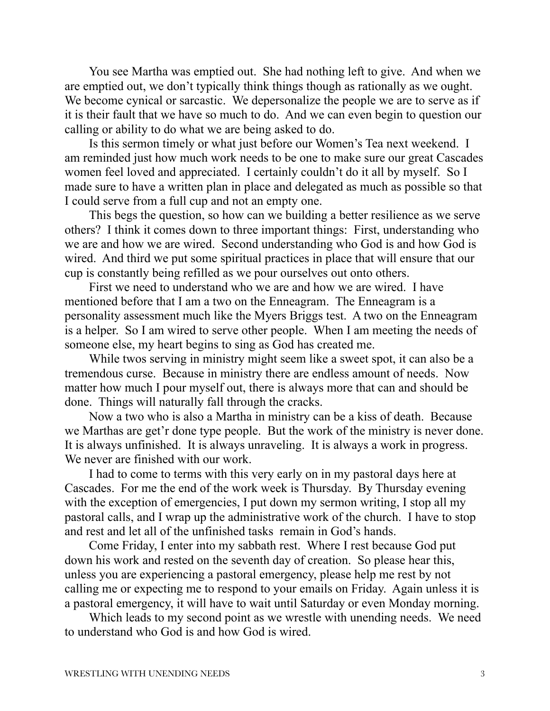You see Martha was emptied out. She had nothing left to give. And when we are emptied out, we don't typically think things though as rationally as we ought. We become cynical or sarcastic. We depersonalize the people we are to serve as if it is their fault that we have so much to do. And we can even begin to question our calling or ability to do what we are being asked to do.

Is this sermon timely or what just before our Women's Tea next weekend. I am reminded just how much work needs to be one to make sure our great Cascades women feel loved and appreciated. I certainly couldn't do it all by myself. So I made sure to have a written plan in place and delegated as much as possible so that I could serve from a full cup and not an empty one.

This begs the question, so how can we building a better resilience as we serve others? I think it comes down to three important things: First, understanding who we are and how we are wired. Second understanding who God is and how God is wired. And third we put some spiritual practices in place that will ensure that our cup is constantly being refilled as we pour ourselves out onto others.

First we need to understand who we are and how we are wired. I have mentioned before that I am a two on the Enneagram. The Enneagram is a personality assessment much like the Myers Briggs test. A two on the Enneagram is a helper. So I am wired to serve other people. When I am meeting the needs of someone else, my heart begins to sing as God has created me.

While twos serving in ministry might seem like a sweet spot, it can also be a tremendous curse. Because in ministry there are endless amount of needs. Now matter how much I pour myself out, there is always more that can and should be done. Things will naturally fall through the cracks.

Now a two who is also a Martha in ministry can be a kiss of death. Because we Marthas are get'r done type people. But the work of the ministry is never done. It is always unfinished. It is always unraveling. It is always a work in progress. We never are finished with our work.

I had to come to terms with this very early on in my pastoral days here at Cascades. For me the end of the work week is Thursday. By Thursday evening with the exception of emergencies, I put down my sermon writing, I stop all my pastoral calls, and I wrap up the administrative work of the church. I have to stop and rest and let all of the unfinished tasks remain in God's hands.

Come Friday, I enter into my sabbath rest. Where I rest because God put down his work and rested on the seventh day of creation. So please hear this, unless you are experiencing a pastoral emergency, please help me rest by not calling me or expecting me to respond to your emails on Friday. Again unless it is a pastoral emergency, it will have to wait until Saturday or even Monday morning.

Which leads to my second point as we wrestle with unending needs. We need to understand who God is and how God is wired.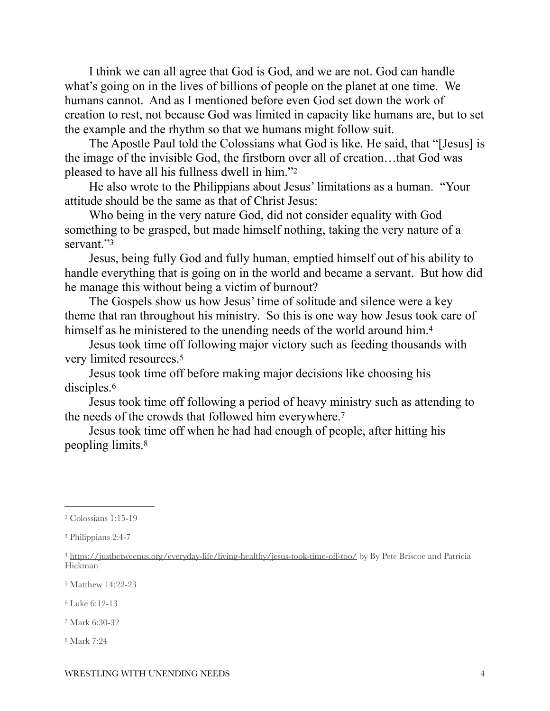I think we can all agree that God is God, and we are not. God can handle what's going on in the lives of billions of people on the planet at one time. We humans cannot. And as I mentioned before even God set down the work of creation to rest, not because God was limited in capacity like humans are, but to set the example and the rhythm so that we humans might follow suit.

The Apostle Paul told the Colossians what God is like. He said, that "[Jesus] is the image of the invisible God, the firstborn over all of creation…that God was pleased to have all his fullness dwell in him."[2](#page-3-0)

<span id="page-3-7"></span>He also wrote to the Philippians about Jesus' limitations as a human. "Your attitude should be the same as that of Christ Jesus:

Who being in the very nature God, did not consider equality with God something to be grasped, but made himself nothing, taking the very nature of a servant<sup>["3](#page-3-1)</sup>

<span id="page-3-8"></span>Jesus, being fully God and fully human, emptied himself out of his ability to handle everything that is going on in the world and became a servant. But how did he manage this without being a victim of burnout?

The Gospels show us how Jesus' time of solitude and silence were a key theme that ran throughout his ministry. So this is one way how Jesus took care of himself as he ministered to the unending needs of the world around him.<sup>[4](#page-3-2)</sup>

<span id="page-3-10"></span><span id="page-3-9"></span>Jesus took time off following major victory such as feeding thousands with very limited resources.[5](#page-3-3)

<span id="page-3-11"></span>Jesus took time off before making major decisions like choosing his disciples.<sup>6</sup>

<span id="page-3-12"></span>Jesus took time off following a period of heavy ministry such as attending to the needs of the crowds that followed him everywhere.[7](#page-3-5)

<span id="page-3-13"></span>Jesus took time off when he had had enough of people, after hitting his peopling limits.[8](#page-3-6)

<span id="page-3-3"></span>[5](#page-3-10) Matthew 14:22-23

<span id="page-3-4"></span>[6](#page-3-11) Luke 6:12-13

<span id="page-3-5"></span>[7](#page-3-12) Mark 6:30-32

<span id="page-3-6"></span>[8](#page-3-13) Mark 7:24

<span id="page-3-0"></span>[<sup>2</sup>](#page-3-7) Colossians 1:15-19

<span id="page-3-1"></span>[<sup>3</sup>](#page-3-8) Philippians 2:4-7

<span id="page-3-2"></span><sup>&</sup>lt;sup>4</sup> <https://justbetweenus.org/everyday-life/living-healthy/jesus-took-time-off-too/>by By Pete Briscoe and Patricia Hickman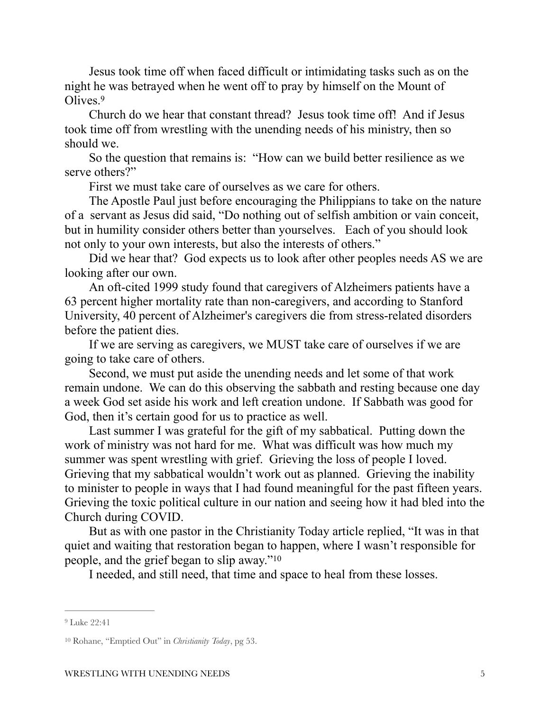Jesus took time off when faced difficult or intimidating tasks such as on the night he was betrayed when he went off to pray by himself on the Mount of Olives[.9](#page-4-0)

<span id="page-4-2"></span>Church do we hear that constant thread? Jesus took time off! And if Jesus took time off from wrestling with the unending needs of his ministry, then so should we.

So the question that remains is: "How can we build better resilience as we serve others?"

First we must take care of ourselves as we care for others.

The Apostle Paul just before encouraging the Philippians to take on the nature of a servant as Jesus did said, "Do nothing out of selfish ambition or vain conceit, but in humility consider others better than yourselves. Each of you should look not only to your own interests, but also the interests of others."

Did we hear that? God expects us to look after other peoples needs AS we are looking after our own.

An oft-cited 1999 study found that caregivers of Alzheimers patients have a 63 percent higher mortality rate than non-caregivers, and according to Stanford University, 40 percent of Alzheimer's caregivers die from stress-related disorders before the patient dies.

If we are serving as caregivers, we MUST take care of ourselves if we are going to take care of others.

Second, we must put aside the unending needs and let some of that work remain undone. We can do this observing the sabbath and resting because one day a week God set aside his work and left creation undone. If Sabbath was good for God, then it's certain good for us to practice as well.

Last summer I was grateful for the gift of my sabbatical. Putting down the work of ministry was not hard for me. What was difficult was how much my summer was spent wrestling with grief. Grieving the loss of people I loved. Grieving that my sabbatical wouldn't work out as planned. Grieving the inability to minister to people in ways that I had found meaningful for the past fifteen years. Grieving the toxic political culture in our nation and seeing how it had bled into the Church during COVID.

But as with one pastor in the Christianity Today article replied, "It was in that quiet and waiting that restoration began to happen, where I wasn't responsible for people, and the grief began to slip away." [10](#page-4-1)

<span id="page-4-3"></span>I needed, and still need, that time and space to heal from these losses.

<span id="page-4-0"></span>[<sup>9</sup>](#page-4-2) Luke 22:41

<span id="page-4-1"></span><sup>&</sup>lt;sup>[10](#page-4-3)</sup> Rohane, "Emptied Out" in *Christianity Today*, pg 53.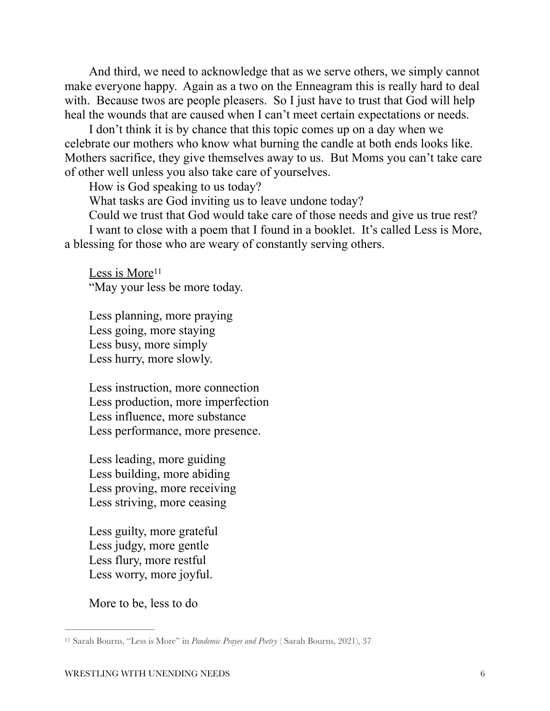And third, we need to acknowledge that as we serve others, we simply cannot make everyone happy. Again as a two on the Enneagram this is really hard to deal with. Because twos are people pleasers. So I just have to trust that God will help heal the wounds that are caused when I can't meet certain expectations or needs.

I don't think it is by chance that this topic comes up on a day when we celebrate our mothers who know what burning the candle at both ends looks like. Mothers sacrifice, they give themselves away to us. But Moms you can't take care of other well unless you also take care of yourselves.

How is God speaking to us today?

What tasks are God inviting us to leave undone today?

Could we trust that God would take care of those needs and give us true rest?

I want to close with a poem that I found in a booklet. It's called Less is More, a blessing for those who are weary of constantly serving others.

<span id="page-5-1"></span>Less is More<sup>11</sup> "May your less be more today.

Less planning, more praying Less going, more staying Less busy, more simply Less hurry, more slowly.

Less instruction, more connection Less production, more imperfection Less influence, more substance Less performance, more presence.

Less leading, more guiding Less building, more abiding Less proving, more receiving Less striving, more ceasing

Less guilty, more grateful Less judgy, more gentle Less flury, more restful Less worry, more joyful.

More to be, less to do

<span id="page-5-0"></span>[<sup>11</sup>](#page-5-1) Sarah Bourns, "Less is More" in *Pandemic Prayer and Poetry* ( Sarah Bourns, 2021), 37